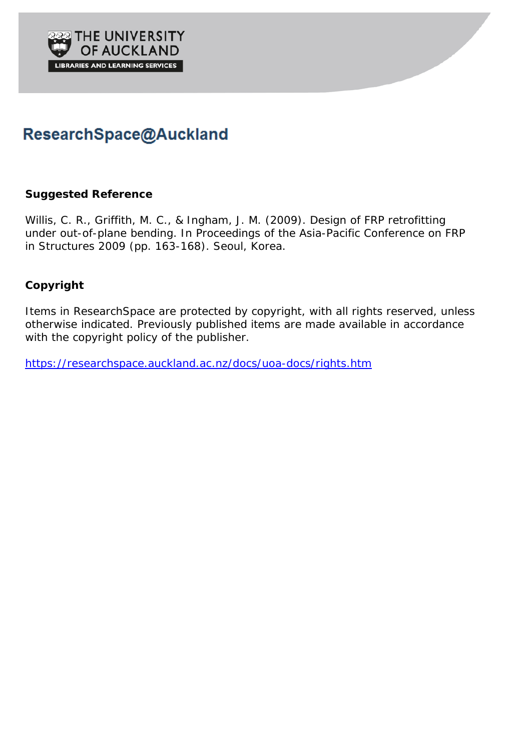

# ResearchSpace@Auckland

## **Suggested Reference**

Willis, C. R., Griffith, M. C., & Ingham, J. M. (2009). Design of FRP retrofitting under out-of-plane bending. In Proceedings of the Asia-Pacific Conference on FRP in Structures 2009 (pp. 163-168). Seoul, Korea.

## **Copyright**

Items in ResearchSpace are protected by copyright, with all rights reserved, unless otherwise indicated. Previously published items are made available in accordance with the copyright policy of the publisher.

<https://researchspace.auckland.ac.nz/docs/uoa-docs/rights.htm>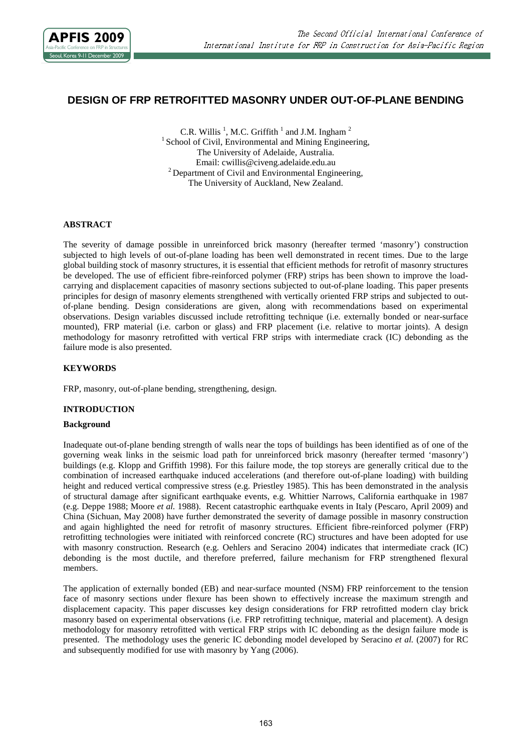### **DESIGN OF FRP RETROFITTED MASONRY UNDER OUT-OF-PLANE BENDING**

C.R. Willis<sup>1</sup>, M.C. Griffith<sup>1</sup> and J.M. Ingham<sup>2</sup>  $1$  School of Civil, Environmental and Mining Engineering, The University of Adelaide, Australia. Email: cwillis@civeng.adelaide.edu.au <sup>2</sup> Department of Civil and Environmental Engineering, The University of Auckland, New Zealand.

#### **ABSTRACT**

The severity of damage possible in unreinforced brick masonry (hereafter termed 'masonry') construction subjected to high levels of out-of-plane loading has been well demonstrated in recent times. Due to the large global building stock of masonry structures, it is essential that efficient methods for retrofit of masonry structures be developed. The use of efficient fibre-reinforced polymer (FRP) strips has been shown to improve the loadcarrying and displacement capacities of masonry sections subjected to out-of-plane loading. This paper presents principles for design of masonry elements strengthened with vertically oriented FRP strips and subjected to outof-plane bending. Design considerations are given, along with recommendations based on experimental observations. Design variables discussed include retrofitting technique (i.e. externally bonded or near-surface mounted), FRP material (i.e. carbon or glass) and FRP placement (i.e. relative to mortar joints). A design methodology for masonry retrofitted with vertical FRP strips with intermediate crack (IC) debonding as the failure mode is also presented.

#### **KEYWORDS**

FRP, masonry, out-of-plane bending, strengthening, design.

#### **INTRODUCTION**

#### **Background**

Inadequate out-of-plane bending strength of walls near the tops of buildings has been identified as of one of the governing weak links in the seismic load path for unreinforced brick masonry (hereafter termed 'masonry') buildings (e.g. Klopp and Griffith 1998). For this failure mode, the top storeys are generally critical due to the combination of increased earthquake induced accelerations (and therefore out-of-plane loading) with building height and reduced vertical compressive stress (e.g. Priestley 1985). This has been demonstrated in the analysis of structural damage after significant earthquake events, e.g. Whittier Narrows, California earthquake in 1987 (e.g. Deppe 1988; Moore *et al.* 1988). Recent catastrophic earthquake events in Italy (Pescaro, April 2009) and China (Sichuan, May 2008) have further demonstrated the severity of damage possible in masonry construction and again highlighted the need for retrofit of masonry structures. Efficient fibre-reinforced polymer (FRP) retrofitting technologies were initiated with reinforced concrete (RC) structures and have been adopted for use with masonry construction. Research (e.g. Oehlers and Seracino 2004) indicates that intermediate crack (IC) debonding is the most ductile, and therefore preferred, failure mechanism for FRP strengthened flexural members.

The application of externally bonded (EB) and near-surface mounted (NSM) FRP reinforcement to the tension face of masonry sections under flexure has been shown to effectively increase the maximum strength and displacement capacity. This paper discusses key design considerations for FRP retrofitted modern clay brick masonry based on experimental observations (i.e. FRP retrofitting technique, material and placement). A design methodology for masonry retrofitted with vertical FRP strips with IC debonding as the design failure mode is presented. The methodology uses the generic IC debonding model developed by Seracino *et al.* (2007) for RC and subsequently modified for use with masonry by Yang (2006).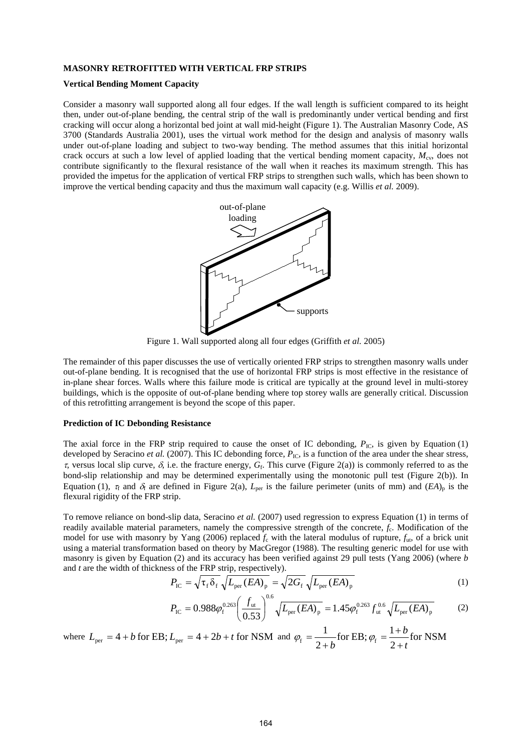#### **MASONRY RETROFITTED WITH VERTICAL FRP STRIPS**

#### **Vertical Bending Moment Capacity**

Consider a masonry wall supported along all four edges. If the wall length is sufficient compared to its height then, under out-of-plane bending, the central strip of the wall is predominantly under vertical bending and first cracking will occur along a horizontal bed joint at wall mid-height [\(Figure 1\)](#page-2-0). The Australian Masonry Code, AS 3700 (Standards Australia 2001), uses the virtual work method for the design and analysis of masonry walls under out-of-plane loading and subject to two-way bending. The method assumes that this initial horizontal crack occurs at such a low level of applied loading that the vertical bending moment capacity,  $M_{\rm cv}$ , does not contribute significantly to the flexural resistance of the wall when it reaches its maximum strength. This has provided the impetus for the application of vertical FRP strips to strengthen such walls, which has been shown to improve the vertical bending capacity and thus the maximum wall capacity (e.g. Willis *et al.* 2009).



Figure 1. Wall supported along all four edges (Griffith *et al.* 2005)

<span id="page-2-0"></span>The remainder of this paper discusses the use of vertically oriented FRP strips to strengthen masonry walls under out-of-plane bending. It is recognised that the use of horizontal FRP strips is most effective in the resistance of in-plane shear forces. Walls where this failure mode is critical are typically at the ground level in multi-storey buildings, which is the opposite of out-of-plane bending where top storey walls are generally critical. Discussion of this retrofitting arrangement is beyond the scope of this paper.

#### **Prediction of IC Debonding Resistance**

The axial force in the FRP strip required to cause the onset of IC debonding,  $P_{\text{IC}}$ , is given by Equation (1) developed by Seracino *et al.* (2007). This IC debonding force,  $P_{\text{IC}}$ , is a function of the area under the shear stress, τ, versus local slip curve, δ, i.e. the fracture energy,  $G_f$ . This curve [\(Figure 2\(](#page-3-0)a)) is commonly referred to as the bond-slip relationship and may be determined experimentally using the monotonic pull test [\(Figure 2\(](#page-3-0)b)). In Equation (1),  $\tau_f$  and  $\delta_f$  are defined in [Figure 2\(](#page-3-0)a),  $L_{per}$  is the failure perimeter (units of mm) and  $(EA)_{\text{p}}$  is the flexural rigidity of the FRP strip.

To remove reliance on bond-slip data, Seracino *et al.* (2007) used regression to express Equation (1) in terms of readily available material parameters, namely the compressive strength of the concrete, *f*c. Modification of the model for use with masonry by Yang (2006) replaced  $f_c$  with the lateral modulus of rupture,  $f_{ut}$ , of a brick unit using a material transformation based on theory by MacGregor (1988). The resulting generic model for use with masonry is given by Equation (2) and its accuracy has been verified against 29 pull tests (Yang 2006) (where *b* and *t* are the width of thickness of the FRP strip, respectively).

$$
P_{\rm IC} = \sqrt{\tau_{\rm f} \delta_{\rm f}} \sqrt{L_{\rm per} (EA)_{\rm p}} = \sqrt{2G_{\rm f}} \sqrt{L_{\rm per} (EA)_{\rm p}}
$$
(1)

$$
P_{\rm IC} = 0.988 \varphi_{\rm f}^{0.263} \left( \frac{f_{\rm ut}}{0.53} \right)^{0.6} \sqrt{L_{\rm per} (EA)_{\rm p}} = 1.45 \varphi_{\rm f}^{0.263} f_{\rm ut}^{0.6} \sqrt{L_{\rm per} (EA)_{\rm p}} \tag{2}
$$

where  $L_{\text{per}} = 4 + b$  for EB;  $L_{\text{per}} = 4 + 2b + t$  for NSM and  $\varphi_f = \frac{1}{2+b}$  for EB;  $\varphi_f = \frac{1+b}{2+t}$  for NSM  $f_f = 2 + b$  <sup>tot</sup> *t*  $\theta$ ,  $\theta$ <sub>f</sub>  $\theta$   $\theta$   $\theta$  + t *b*  $\varphi_f = \frac{1}{2+b}$  for EB;  $\varphi_f = \frac{1+}{2+b}$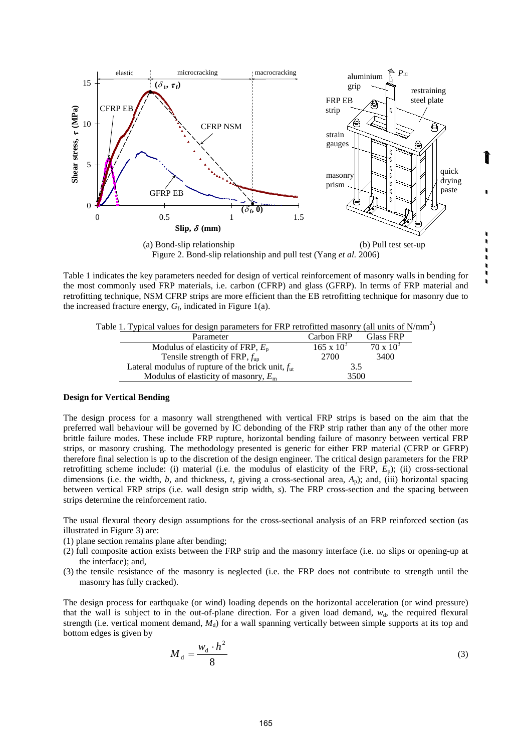

Figure 2. Bond-slip relationship and pull test (Yang *et al.* 2006)

b t

<span id="page-3-0"></span>[Table 1](#page-3-1) indicates the key parameters needed for design of vertical reinforcement of masonry walls in bending for the most commonly used FRP materials, i.e. carbon (CFRP) and glass (GFRP). In terms of FRP material and retrofitting technique, NSM CFRP strips are more efficient than the EB retrofitting technique for masonry due to the increased fracture energy,  $G_f$ , indicated in Figure 1(a).

<span id="page-3-1"></span>Table 1. Typical values for design parameters for FRP retrofitted masonry (all units of  $N/mm^2$ )

| Parameter                                                     | Carbon FRP          | <b>Glass FRP</b> |
|---------------------------------------------------------------|---------------------|------------------|
| Modulus of elasticity of FRP, $E_p$                           | $165 \times 10^{3}$ | $70 \times 10^3$ |
| Tensile strength of FRP, $f_{\text{un}}$                      | 2700                | 3400             |
| Lateral modulus of rupture of the brick unit, $f_{\text{ut}}$ | 3.5                 |                  |
| Modulus of elasticity of masonry, $E_m$                       | 3500                |                  |

#### **Design for Vertical Bending**

The design process for a masonry wall strengthened with vertical FRP strips is based on the aim that the preferred wall behaviour will be governed by IC debonding of the FRP strip rather than any of the other more brittle failure modes. These include FRP rupture, horizontal bending failure of masonry between vertical FRP strips, or masonry crushing. The methodology presented is generic for either FRP material (CFRP or GFRP) therefore final selection is up to the discretion of the design engineer. The critical design parameters for the FRP retrofitting scheme include: (i) material (i.e. the modulus of elasticity of the FRP, *E*p); (ii) cross-sectional dimensions (i.e. the width, *b*, and thickness, *t*, giving a cross-sectional area, *A*p); and, (iii) horizontal spacing between vertical FRP strips (i.e. wall design strip width, *s*). The FRP cross-section and the spacing between strips determine the reinforcement ratio.

The usual flexural theory design assumptions for the cross-sectional analysis of an FRP reinforced section (as illustrated in [Figure 3\)](#page-4-0) are:

- (1) plane section remains plane after bending;
- (2) full composite action exists between the FRP strip and the masonry interface (i.e. no slips or opening-up at the interface); and,
- (3) the tensile resistance of the masonry is neglected (i.e. the FRP does not contribute to strength until the masonry has fully cracked).

The design process for earthquake (or wind) loading depends on the horizontal acceleration (or wind pressure) that the wall is subject to in the out-of-plane direction. For a given load demand,  $w_d$ , the required flexural strength (i.e. vertical moment demand,  $M<sub>d</sub>$ ) for a wall spanning vertically between simple supports at its top and bottom edges is given by

$$
M_{\rm d} = \frac{w_{\rm d} \cdot h^2}{8} \tag{3}
$$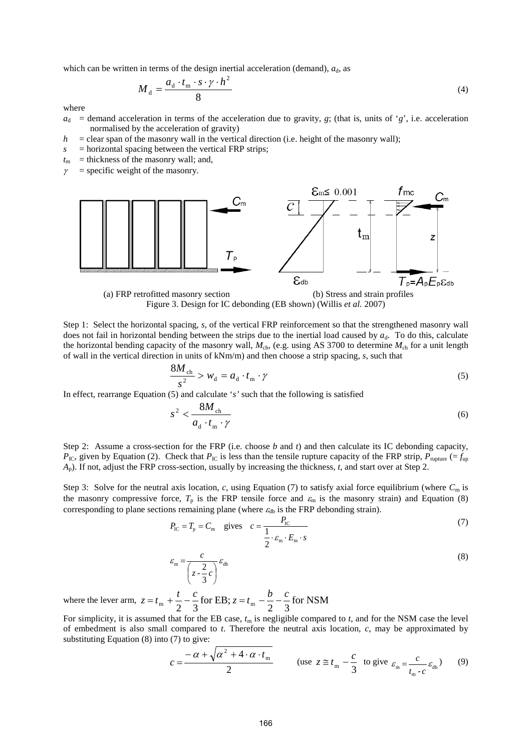which can be written in terms of the design inertial acceleration (demand),  $a<sub>d</sub>$ , as

$$
M_{\rm d} = \frac{a_{\rm d} \cdot t_{\rm m} \cdot s \cdot \gamma \cdot h^2}{8} \tag{4}
$$

where

- $a_d$  = demand acceleration in terms of the acceleration due to gravity, *g*; (that is, units of '*g*', i.e. acceleration normalised by the acceleration of gravity)
- $h =$  clear span of the masonry wall in the vertical direction (i.e. height of the masonry wall);
- *s* = horizontal spacing between the vertical FRP strips;
- $t_{\rm m}$  = thickness of the masonry wall; and,
- $\gamma$  = specific weight of the masonry.



<span id="page-4-0"></span>Step 1: Select the horizontal spacing, *s*, of the vertical FRP reinforcement so that the strengthened masonry wall does not fail in horizontal bending between the strips due to the inertial load caused by  $a_d$ . To do this, calculate the horizontal bending capacity of the masonry wall,  $M_{ch}$ , (e.g. using AS 3700 to determine  $M_{ch}$  for a unit length of wall in the vertical direction in units of kNm/m) and then choose a strip spacing, *s*, such that

$$
\frac{8M_{\text{ch}}}{s^2} > W_{\text{d}} = a_{\text{d}} \cdot t_{\text{m}} \cdot \gamma \tag{5}
$$

In effect, rearrange Equation (5) and calculate '*s'* such that the following is satisfied

$$
s^2 < \frac{8M_{\text{ch}}}{a_{\text{d}} \cdot t_{\text{m}} \cdot \gamma} \tag{6}
$$

Step 2: Assume a cross-section for the FRP (i.e. choose *b* and *t*) and then calculate its IC debonding capacity,  $P_{\text{IC}}$ , given by Equation (2). Check that  $P_{\text{IC}}$  is less than the tensile rupture capacity of the FRP strip,  $P_{\text{rupture}}$  (=  $f_{\text{up}}$ ) *A*p). If not, adjust the FRP cross-section, usually by increasing the thickness, *t*, and start over at Step 2.

Step 3: Solve for the neutral axis location, *c*, using Equation (7) to satisfy axial force equilibrium (where  $C_m$  is the masonry compressive force,  $T_p$  is the FRP tensile force and  $\varepsilon_m$  is the masonry strain) and Equation (8) corresponding to plane sections remaining plane (where  $\varepsilon_{db}$  is the FRP debonding strain).

$$
P_{\rm IC} = T_{\rm p} = C_{\rm m} \quad \text{gives} \quad c = \frac{P_{\rm IC}}{\frac{1}{2} \cdot \varepsilon_{\rm m} \cdot E_{\rm m} \cdot s} \tag{7}
$$

$$
\varepsilon_{\rm m} = \frac{c}{\left(z - \frac{2}{3}c\right)} \varepsilon_{\rm db} \tag{8}
$$

where the lever arm,  $z = t_m + \frac{t}{2} - \frac{c}{3}$  for EB;  $z = t_m - \frac{b}{2} - \frac{c}{3}$  for NSM

For simplicity, it is assumed that for the EB case,  $t<sub>m</sub>$  is negligible compared to  $t$ , and for the NSM case the level of embedment is also small compared to *t*. Therefore the neutral axis location, *c*, may be approximated by substituting Equation (8) into (7) to give:

$$
c = \frac{-\alpha + \sqrt{\alpha^2 + 4 \cdot \alpha \cdot t_{\text{m}}}}{2} \qquad \text{(use } z \cong t_{\text{m}} - \frac{c}{3} \text{ to give } \varepsilon_{\text{m}} = \frac{c}{t_{\text{m}} - c} \varepsilon_{\text{db}} \qquad (9)
$$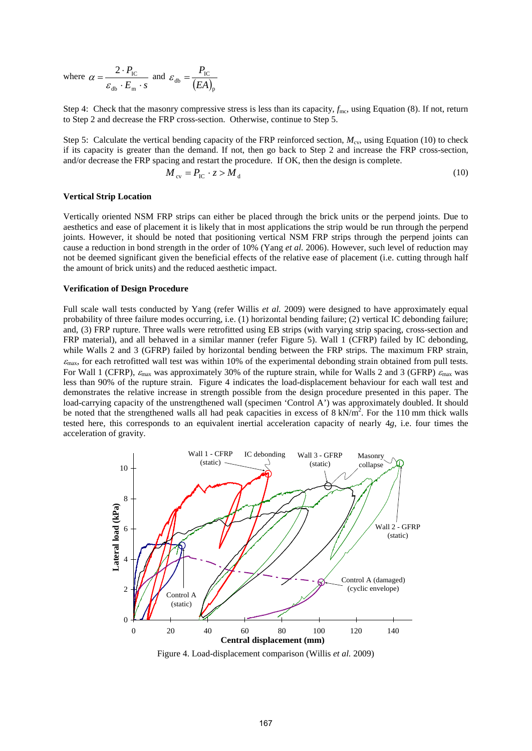where  $E_{\rm m} \cdot s$ *P*  $\cdot E_{m}$ .  $=-\frac{2}{\cdot}$ db  $L_{\text{m}}$  $2 \cdot P_{\text{IC}}$  $\alpha = \frac{2 \epsilon_0}{\epsilon_{ab} \cdot E_m \cdot s}$  and  $\epsilon_{ab} = \frac{E_C}{(EA)}$  $\varepsilon_{\text{db}} = \frac{P_1}{\sqrt{P_1}}$ 

Step 4: Check that the masonry compressive stress is less than its capacity,  $f_{\text{mc}}$ , using Equation (8). If not, return to Step 2 and decrease the FRP cross-section. Otherwise, continue to Step 5.

Step 5: Calculate the vertical bending capacity of the FRP reinforced section,  $M_{\text{cv}}$ , using Equation (10) to check if its capacity is greater than the demand. If not, then go back to Step 2 and increase the FRP cross-section, and/or decrease the FRP spacing and restart the procedure. If OK, then the design is complete.

$$
M_{\rm cv} = P_{\rm IC} \cdot z > M_{\rm d} \tag{10}
$$

#### **Vertical Strip Location**

Vertically oriented NSM FRP strips can either be placed through the brick units or the perpend joints. Due to aesthetics and ease of placement it is likely that in most applications the strip would be run through the perpend joints. However, it should be noted that positioning vertical NSM FRP strips through the perpend joints can cause a reduction in bond strength in the order of 10% (Yang *et al.* 2006). However, such level of reduction may not be deemed significant given the beneficial effects of the relative ease of placement (i.e. cutting through half the amount of brick units) and the reduced aesthetic impact.

#### **Verification of Design Procedure**

Full scale wall tests conducted by Yang (refer Willis *et al.* 2009) were designed to have approximately equal probability of three failure modes occurring, i.e. (1) horizontal bending failure; (2) vertical IC debonding failure; and, (3) FRP rupture. Three walls were retrofitted using EB strips (with varying strip spacing, cross-section and FRP material), and all behaved in a similar manner (refer Figure 5). Wall 1 (CFRP) failed by IC debonding, while Walls 2 and 3 (GFRP) failed by horizontal bending between the FRP strips. The maximum FRP strain,  $\varepsilon_{\text{max}}$ , for each retrofitted wall test was within 10% of the experimental debonding strain obtained from pull tests. For Wall 1 (CFRP),  $\varepsilon_{\text{max}}$  was approximately 30% of the rupture strain, while for Walls 2 and 3 (GFRP)  $\varepsilon_{\text{max}}$  was less than 90% of the rupture strain. [Figure 4](#page-5-0) indicates the load-displacement behaviour for each wall test and demonstrates the relative increase in strength possible from the design procedure presented in this paper. The load-carrying capacity of the unstrengthened wall (specimen 'Control A') was approximately doubled. It should be noted that the strengthened walls all had peak capacities in excess of  $8 \text{ kN/m}^2$ . For the 110 mm thick walls tested here, this corresponds to an equivalent inertial acceleration capacity of nearly 4*g*, i.e. four times the acceleration of gravity.



<span id="page-5-0"></span>Figure 4. Load-displacement comparison (Willis *et al.* 2009)